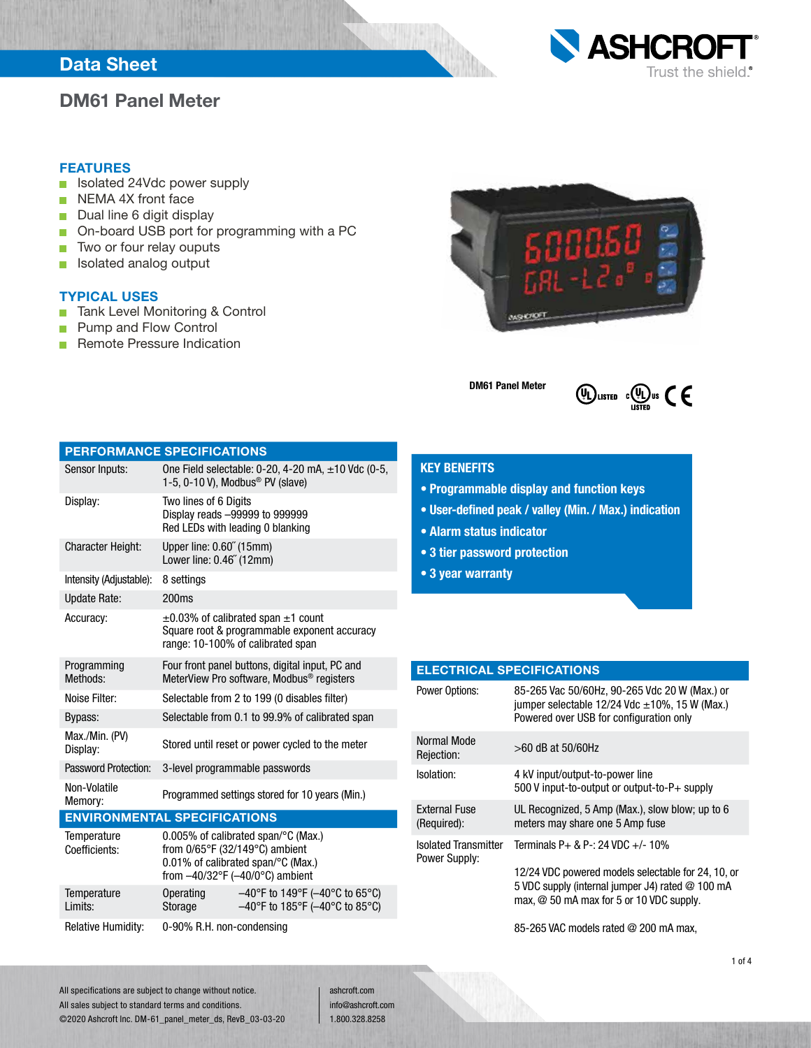## Data Sheet

## DM61 Panel Meter



### FEATURES

- Isolated 24Vdc power supply
- NEMA 4X front face
- Dual line 6 digit display
- On-board USB port for programming with a PC
- Two or four relay ouputs  $\Box$
- Isolated analog output  $\mathcal{L}_{\mathcal{A}}$

### TYPICAL USES

- Tank Level Monitoring & Control  $\Box$
- Pump and Flow Control  $\Box$
- Remote Pressure Indication n.



DM61 Panel Meter



## PERFORMANCE SPECIFICATIONS

| Sensor Inputs:                      |                                                                                                                                                                    | One Field selectable: 0-20, 4-20 mA, $\pm$ 10 Vdc (0-5,<br>1-5, 0-10 V), Modbus <sup>®</sup> PV (slave)                            |  |
|-------------------------------------|--------------------------------------------------------------------------------------------------------------------------------------------------------------------|------------------------------------------------------------------------------------------------------------------------------------|--|
| Display:                            | Two lines of 6 Digits                                                                                                                                              | Display reads -99999 to 999999<br>Red LEDs with leading 0 blanking                                                                 |  |
| <b>Character Height:</b>            | Upper line: 0.60" (15mm)<br>Lower line: 0.46" (12mm)                                                                                                               |                                                                                                                                    |  |
| Intensity (Adjustable):             | 8 settings                                                                                                                                                         |                                                                                                                                    |  |
| <b>Update Rate:</b>                 | 200 <sub>ms</sub>                                                                                                                                                  |                                                                                                                                    |  |
| Accuracy:                           |                                                                                                                                                                    | $\pm 0.03\%$ of calibrated span $\pm 1$ count<br>Square root & programmable exponent accuracy<br>range: 10-100% of calibrated span |  |
| Programming<br>Methods:             |                                                                                                                                                                    | Four front panel buttons, digital input, PC and<br>MeterView Pro software, Modbus <sup>®</sup> registers                           |  |
| Noise Filter:                       |                                                                                                                                                                    | Selectable from 2 to 199 (0 disables filter)                                                                                       |  |
| Bypass:                             |                                                                                                                                                                    | Selectable from 0.1 to 99.9% of calibrated span                                                                                    |  |
| Max./Min. (PV)<br>Display:          |                                                                                                                                                                    | Stored until reset or power cycled to the meter                                                                                    |  |
| Password Protection:                |                                                                                                                                                                    | 3-level programmable passwords                                                                                                     |  |
| Non-Volatile<br>Memory:             |                                                                                                                                                                    | Programmed settings stored for 10 years (Min.)                                                                                     |  |
| <b>ENVIRONMENTAL SPECIFICATIONS</b> |                                                                                                                                                                    |                                                                                                                                    |  |
| Temperature<br>Coefficients:        | $0.005\%$ of calibrated span/ $\degree$ C (Max.)<br>from 0/65°F (32/149°C) ambient<br>0.01% of calibrated span/°C (Max.)<br>from $-40/32$ °F ( $-40/0$ °C) ambient |                                                                                                                                    |  |
| Temperature<br>Limits:              | <b>Operating</b><br>Storage                                                                                                                                        | $-40^{\circ}$ F to 149°F ( $-40^{\circ}$ C to 65°C)<br>$-40^{\circ}$ F to 185°F ( $-40^{\circ}$ C to 85°C)                         |  |

Relative Humidity: 0-90% R.H. non-condensing

## KEY BENEFITS

- Programmable display and function keys
- User-defined peak / valley (Min. / Max.) indication
- Alarm status indicator
- 3 tier password protection
- 3 year warranty

## ELECTRICAL SPECIFICATIONS

| <b>Power Options:</b>                        | 85-265 Vac 50/60Hz, 90-265 Vdc 20 W (Max.) or<br>jumper selectable 12/24 Vdc $\pm$ 10%, 15 W (Max.)<br>Powered over USB for configuration only                                               |
|----------------------------------------------|----------------------------------------------------------------------------------------------------------------------------------------------------------------------------------------------|
| Normal Mode<br>Rejection:                    | $>60$ dB at 50/60Hz                                                                                                                                                                          |
| Isolation:                                   | 4 kV input/output-to-power line<br>500 V input-to-output or output-to-P+ supply                                                                                                              |
| External Fuse<br>(Required):                 | UL Recognized, 5 Amp (Max.), slow blow; up to 6<br>meters may share one 5 Amp fuse                                                                                                           |
| <b>Isolated Transmitter</b><br>Power Supply: | Terminals $P+ R P- 24 VDC + (-10\%)$<br>12/24 VDC powered models selectable for 24, 10, or<br>5 VDC supply (internal jumper J4) rated @ 100 mA<br>max, $@$ 50 mA max for 5 or 10 VDC supply. |
|                                              |                                                                                                                                                                                              |

85-265 VAC models rated @ 200 mA max,

All specifications are subject to change without notice. All sales subject to standard terms and conditions. ©2020 Ashcroft Inc. DM-61\_panel\_meter\_ds, RevB\_03-03-20 ashcroft.com info@ashcroft.com 1.800.328.8258

1 of 4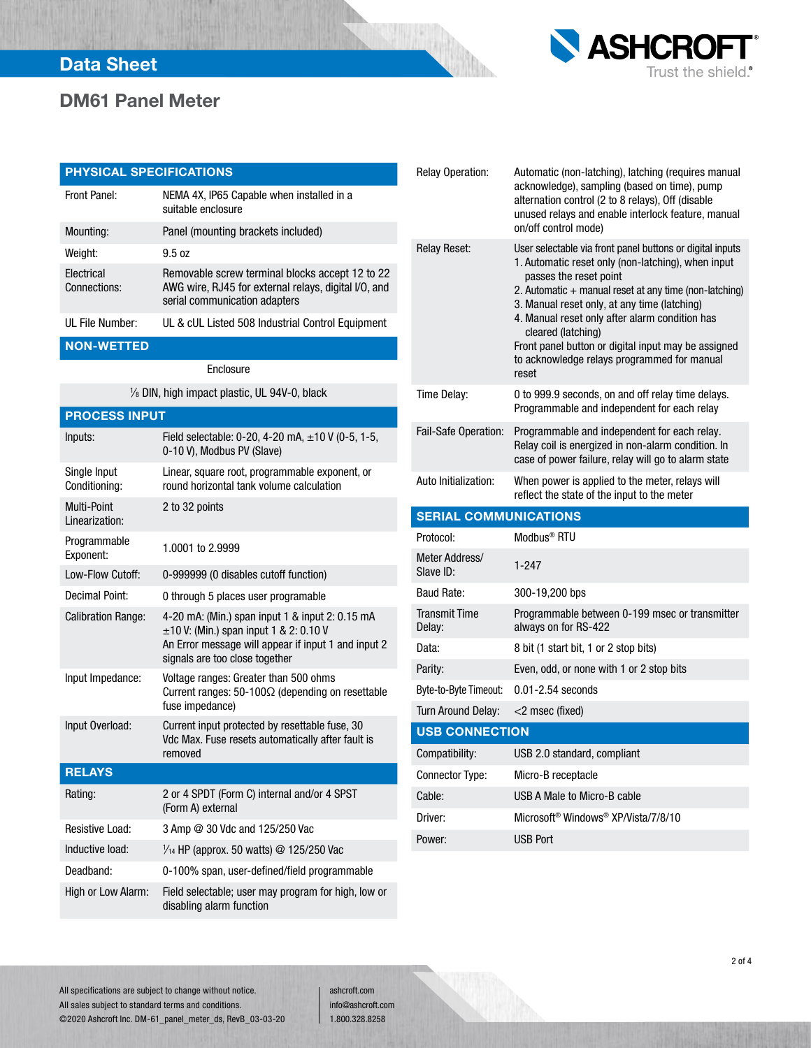

# DM61 Panel Meter

| <b>PHYSICAL SPECIFICATIONS</b> |                                                                                                                                          |
|--------------------------------|------------------------------------------------------------------------------------------------------------------------------------------|
| Front Panel:                   | NEMA 4X, IP65 Capable when installed in a<br>suitable enclosure                                                                          |
| Mounting:                      | Panel (mounting brackets included)                                                                                                       |
| Weight:                        | 9.5 oz                                                                                                                                   |
| Electrical<br>Connections:     | Removable screw terminal blocks accept 12 to 22<br>AWG wire, RJ45 for external relays, digital I/O, and<br>serial communication adapters |
| UL File Number:                | UL & cUL Listed 508 Industrial Control Equipment                                                                                         |

### NON-WETTED

Enclosure

1 ⁄8 DIN, high impact plastic, UL 94V-0, black

## PROCESS INPUT

| Inputs:                        | Field selectable: 0-20, 4-20 mA, ±10 V (0-5, 1-5,<br>0-10 V), Modbus PV (Slave)                                                                                                         |
|--------------------------------|-----------------------------------------------------------------------------------------------------------------------------------------------------------------------------------------|
| Single Input<br>Conditioning:  | Linear, square root, programmable exponent, or<br>round horizontal tank volume calculation                                                                                              |
| Multi-Point<br>I inearization: | 2 to 32 points                                                                                                                                                                          |
| Programmable<br>Exponent:      | 1.0001 to 2.9999                                                                                                                                                                        |
| Low-Flow Cutoff:               | 0-999999 (0 disables cutoff function)                                                                                                                                                   |
| Decimal Point:                 | 0 through 5 places user programable                                                                                                                                                     |
| <b>Calibration Range:</b>      | 4-20 mA: (Min.) span input 1 & input 2: 0.15 mA<br>$\pm$ 10 V: (Min.) span input 1 & 2: 0.10 V<br>An Error message will appear if input 1 and input 2<br>signals are too close together |
| Input Impedance:               | Voltage ranges: Greater than 500 ohms<br>Current ranges: 50-100Ω (depending on resettable<br>fuse impedance)                                                                            |
| Input Overload:                | Current input protected by resettable fuse, 30<br>Vdc Max. Fuse resets automatically after fault is<br>removed                                                                          |
| <b>RELAYS</b>                  |                                                                                                                                                                                         |
| Rating:                        | 2 or 4 SPDT (Form C) internal and/or 4 SPST<br>(Form A) external                                                                                                                        |
| Resistive Load:                | 3 Amp @ 30 Vdc and 125/250 Vac                                                                                                                                                          |
| Inductive load:                | $\frac{1}{4}$ HP (approx. 50 watts) @ 125/250 Vac                                                                                                                                       |
| Deadband:                      | 0-100% span, user-defined/field programmable                                                                                                                                            |
| High or Low Alarm:             | Field selectable; user may program for high, low or<br>disabling alarm function                                                                                                         |

| Relay Operation:               | Automatic (non-latching), latching (requires manual<br>acknowledge), sampling (based on time), pump<br>alternation control (2 to 8 relays), Off (disable<br>unused relays and enable interlock feature, manual<br>on/off control mode)                                                                                                                                                                                                     |
|--------------------------------|--------------------------------------------------------------------------------------------------------------------------------------------------------------------------------------------------------------------------------------------------------------------------------------------------------------------------------------------------------------------------------------------------------------------------------------------|
| <b>Relay Reset:</b>            | User selectable via front panel buttons or digital inputs<br>1. Automatic reset only (non-latching), when input<br>passes the reset point<br>2. Automatic + manual reset at any time (non-latching)<br>3. Manual reset only, at any time (latching)<br>4. Manual reset only after alarm condition has<br>cleared (latching)<br>Front panel button or digital input may be assigned<br>to acknowledge relays programmed for manual<br>reset |
| Time Delay:                    | 0 to 999.9 seconds, on and off relay time delays.<br>Programmable and independent for each relay                                                                                                                                                                                                                                                                                                                                           |
| Fail-Safe Operation:           | Programmable and independent for each relay.<br>Relay coil is energized in non-alarm condition. In<br>case of power failure, relay will go to alarm state                                                                                                                                                                                                                                                                                  |
| Auto Initialization:           | When power is applied to the meter, relays will<br>reflect the state of the input to the meter                                                                                                                                                                                                                                                                                                                                             |
|                                |                                                                                                                                                                                                                                                                                                                                                                                                                                            |
| <b>SERIAL COMMUNICATIONS</b>   |                                                                                                                                                                                                                                                                                                                                                                                                                                            |
| Protocol:                      | Modbus <sup>®</sup> RTU                                                                                                                                                                                                                                                                                                                                                                                                                    |
| Meter Address/<br>Slave ID:    | $1 - 247$                                                                                                                                                                                                                                                                                                                                                                                                                                  |
| <b>Baud Rate:</b>              | 300-19,200 bps                                                                                                                                                                                                                                                                                                                                                                                                                             |
| <b>Transmit Time</b><br>Delay: | Programmable between 0-199 msec or transmitter<br>always on for RS-422                                                                                                                                                                                                                                                                                                                                                                     |
| Data:                          | 8 bit (1 start bit, 1 or 2 stop bits)                                                                                                                                                                                                                                                                                                                                                                                                      |
| Parity:                        | Even, odd, or none with 1 or 2 stop bits                                                                                                                                                                                                                                                                                                                                                                                                   |
| Byte-to-Byte Timeout:          | $0.01 - 2.54$ seconds                                                                                                                                                                                                                                                                                                                                                                                                                      |
| <b>Turn Around Delay:</b>      | <2 msec (fixed)                                                                                                                                                                                                                                                                                                                                                                                                                            |
| <b>USB CONNECTION</b>          |                                                                                                                                                                                                                                                                                                                                                                                                                                            |
| Compatibility:                 | USB 2.0 standard, compliant                                                                                                                                                                                                                                                                                                                                                                                                                |
| <b>Connector Type:</b>         | Micro-B receptacle                                                                                                                                                                                                                                                                                                                                                                                                                         |
| Cable:                         | USB A Male to Micro-B cable                                                                                                                                                                                                                                                                                                                                                                                                                |
| Driver:                        | Microsoft <sup>®</sup> Windows <sup>®</sup> XP/Vista/7/8/10                                                                                                                                                                                                                                                                                                                                                                                |

All specifications are subject to change without notice. All sales subject to standard terms and conditions. ©2020 Ashcroft Inc. DM-61\_panel\_meter\_ds, RevB\_03-03-20

ashcroft.com info@ashcroft.com 1.800.328.8258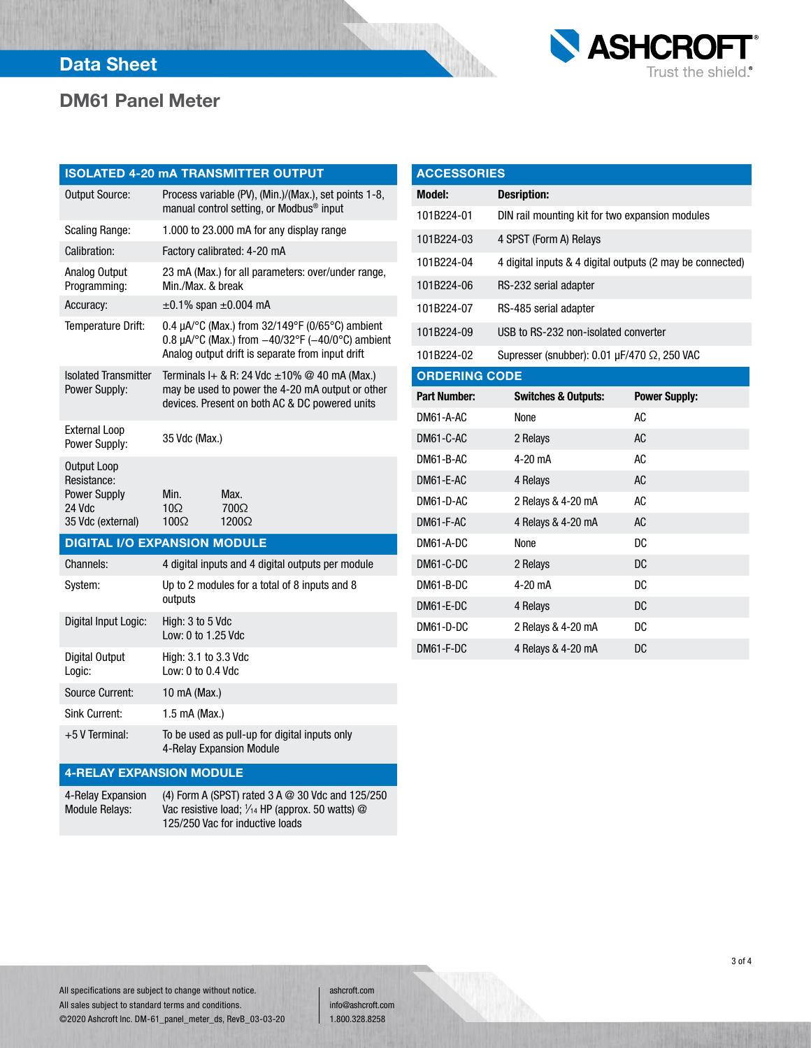

# Data Sheet

# DM61 Panel Meter

|                                                                                  | <b>ISOLATED 4-20 mA TRANSMITTER OUTPUT</b>                                                                                                                               |  |
|----------------------------------------------------------------------------------|--------------------------------------------------------------------------------------------------------------------------------------------------------------------------|--|
| <b>Output Source:</b>                                                            | Process variable (PV), (Min.)/(Max.), set points 1-8,<br>manual control setting, or Modbus <sup>®</sup> input                                                            |  |
| <b>Scaling Range:</b>                                                            | 1.000 to 23.000 mA for any display range                                                                                                                                 |  |
| Calibration:                                                                     | Factory calibrated: 4-20 mA                                                                                                                                              |  |
| Analog Output<br>Programming:                                                    | 23 mA (Max.) for all parameters: over/under range,<br>Min./Max. & break                                                                                                  |  |
| Accuracy:                                                                        | $\pm 0.1\%$ span $\pm 0.004$ mA                                                                                                                                          |  |
| Temperature Drift:                                                               | 0.4 $\mu$ A/°C (Max.) from 32/149°F (0/65°C) ambient<br>0.8 $\mu$ A/°C (Max.) from $-40/32$ °F ( $-40/0$ °C) ambient<br>Analog output drift is separate from input drift |  |
| <b>Isolated Transmitter</b><br>Power Supply:                                     | Terminals I+ & R: 24 Vdc $\pm$ 10% @ 40 mA (Max.)<br>may be used to power the 4-20 mA output or other<br>devices. Present on both AC & DC powered units                  |  |
| <b>External Loop</b><br>Power Supply:                                            | 35 Vdc (Max.)                                                                                                                                                            |  |
| Output Loop<br>Resistance:<br><b>Power Supply</b><br>24 Vdc<br>35 Vdc (external) | Min.<br>Max.<br>$10\Omega$<br>700Ω<br>$100\Omega$<br>1200Ω                                                                                                               |  |
|                                                                                  | <b>DIGITAL I/O EXPANSION MODULE</b>                                                                                                                                      |  |
| Channels:                                                                        | 4 digital inputs and 4 digital outputs per module                                                                                                                        |  |
| System:                                                                          | Up to 2 modules for a total of 8 inputs and 8<br>outputs                                                                                                                 |  |
| Digital Input Logic:                                                             | High: 3 to 5 Vdc<br>Low: 0 to 1.25 Vdc                                                                                                                                   |  |
| Digital Output<br>Logic:                                                         | High: 3.1 to 3.3 Vdc<br>Low: $0$ to $0.4$ Vdc                                                                                                                            |  |
| <b>Source Current:</b>                                                           | 10 mA (Max.)                                                                                                                                                             |  |
| <b>Sink Current:</b>                                                             | 1.5 mA (Max.)                                                                                                                                                            |  |
| +5 V Terminal:                                                                   | To be used as pull-up for digital inputs only                                                                                                                            |  |

| <b>ACCESSORIES</b>   |                                                        |                                                           |
|----------------------|--------------------------------------------------------|-----------------------------------------------------------|
| <b>Model:</b>        | <b>Desription:</b>                                     |                                                           |
| 101B224-01           | DIN rail mounting kit for two expansion modules        |                                                           |
| 101B224-03           | 4 SPST (Form A) Relays                                 |                                                           |
| 101B224-04           |                                                        | 4 digital inputs & 4 digital outputs (2 may be connected) |
| 101B224-06           | RS-232 serial adapter                                  |                                                           |
| 101B224-07           | RS-485 serial adapter                                  |                                                           |
| 101B224-09           | USB to RS-232 non-isolated converter                   |                                                           |
| 101B224-02           | Supresser (snubber): $0.01 \mu F/470 \Omega$ , 250 VAC |                                                           |
| <b>ORDERING CODE</b> |                                                        |                                                           |
| <b>Part Number:</b>  | <b>Switches &amp; Outputs:</b>                         | <b>Power Supply:</b>                                      |
|                      |                                                        |                                                           |
| DM61-A-AC            | None                                                   | AC                                                        |
| DM61-C-AC            | 2 Relays                                               | AC                                                        |
| DM61-B-AC            | $4-20$ mA                                              | AC                                                        |
| DM61-E-AC            | 4 Relays                                               | <b>AC</b>                                                 |
| DM61-D-AC            | 2 Relays & 4-20 mA                                     | AC                                                        |
| DM61-F-AC            | 4 Relays & 4-20 mA                                     | <b>AC</b>                                                 |
| DM61-A-DC            | None                                                   | DC                                                        |
| DM61-C-DC            | 2 Relays                                               | <b>DC</b>                                                 |
| DM61-B-DC            | $4-20$ mA                                              | DC                                                        |
| DM61-E-DC            | 4 Relays                                               | DC                                                        |

DM61-F-DC 4 Relays & 4-20 mA DC

### 4-RELAY EXPANSION MODULE

4-Relay Expansion Module Relays: (4) Form A (SPST) rated 3 A @ 30 Vdc and 125/250 Vac resistive load;  $\frac{1}{4}$  HP (approx. 50 watts)  $\textcircled{a}$ 125/250 Vac for inductive loads

4-Relay Expansion Module

All specifications are subject to change without notice. All sales subject to standard terms and conditions. ©2020 Ashcroft Inc. DM-61\_panel\_meter\_ds, RevB\_03-03-20

ashcroft.com info@ashcroft.com 1.800.328.8258